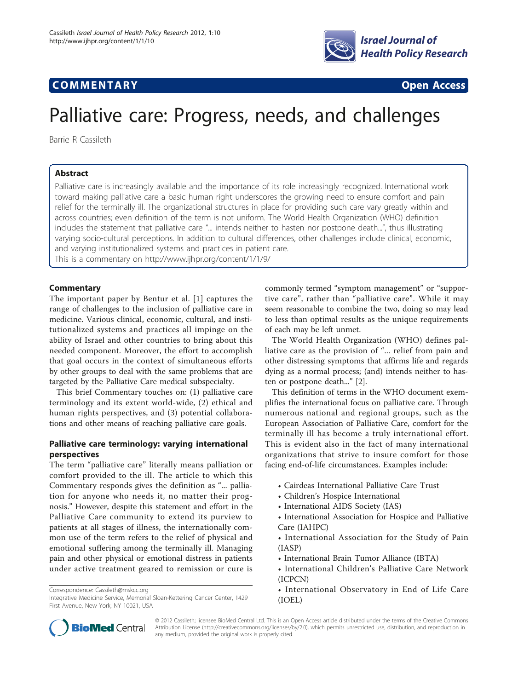

## **COMMENTARY COMMENTARY Open Access**

# Palliative care: Progress, needs, and challenges

Barrie R Cassileth

### Abstract

Palliative care is increasingly available and the importance of its role increasingly recognized. International work toward making palliative care a basic human right underscores the growing need to ensure comfort and pain relief for the terminally ill. The organizational structures in place for providing such care vary greatly within and across countries; even definition of the term is not uniform. The World Health Organization (WHO) definition includes the statement that palliative care "... intends neither to hasten nor postpone death...", thus illustrating varying socio-cultural perceptions. In addition to cultural differences, other challenges include clinical, economic, and varying institutionalized systems and practices in patient care.

This is a commentary on<http://www.ijhpr.org/content/1/1/9/>

#### **Commentary**

The important paper by Bentur et al. [[1\]](#page-2-0) captures the range of challenges to the inclusion of palliative care in medicine. Various clinical, economic, cultural, and institutionalized systems and practices all impinge on the ability of Israel and other countries to bring about this needed component. Moreover, the effort to accomplish that goal occurs in the context of simultaneous efforts by other groups to deal with the same problems that are targeted by the Palliative Care medical subspecialty.

This brief Commentary touches on: (1) palliative care terminology and its extent world-wide, (2) ethical and human rights perspectives, and (3) potential collaborations and other means of reaching palliative care goals.

### Palliative care terminology: varying international perspectives

The term "palliative care" literally means palliation or comfort provided to the ill. The article to which this Commentary responds gives the definition as "... palliation for anyone who needs it, no matter their prognosis." However, despite this statement and effort in the Palliative Care community to extend its purview to patients at all stages of illness, the internationally common use of the term refers to the relief of physical and emotional suffering among the terminally ill. Managing pain and other physical or emotional distress in patients under active treatment geared to remission or cure is

Correspondence: [Cassileth@mskcc.org](mailto:Cassileth@mskcc.org)

commonly termed "symptom management" or "supportive care", rather than "palliative care". While it may seem reasonable to combine the two, doing so may lead to less than optimal results as the unique requirements of each may be left unmet.

The World Health Organization (WHO) defines palliative care as the provision of "... relief from pain and other distressing symptoms that affirms life and regards dying as a normal process; (and) intends neither to hasten or postpone death..." [\[2\]](#page-2-0).

This definition of terms in the WHO document exemplifies the international focus on palliative care. Through numerous national and regional groups, such as the European Association of Palliative Care, comfort for the terminally ill has become a truly international effort. This is evident also in the fact of many international organizations that strive to insure comfort for those facing end-of-life circumstances. Examples include:

- Cairdeas International Palliative Care Trust
- Children's Hospice International
- International AIDS Society (IAS)
- International Association for Hospice and Palliative Care (IAHPC)
- International Association for the Study of Pain (IASP)
- International Brain Tumor Alliance (IBTA)
- International Children's Palliative Care Network (ICPCN)
- International Observatory in End of Life Care (IOEL)



© 2012 Cassileth; licensee BioMed Central Ltd. This is an Open Access article distributed under the terms of the Creative Commons Attribution License [\(http://creativecommons.org/licenses/by/2.0](http://creativecommons.org/licenses/by/2.0)), which permits unrestricted use, distribution, and reproduction in any medium, provided the original work is properly cited.

Integrative Medicine Service, Memorial Sloan-Kettering Cancer Center, 1429 First Avenue, New York, NY 10021, USA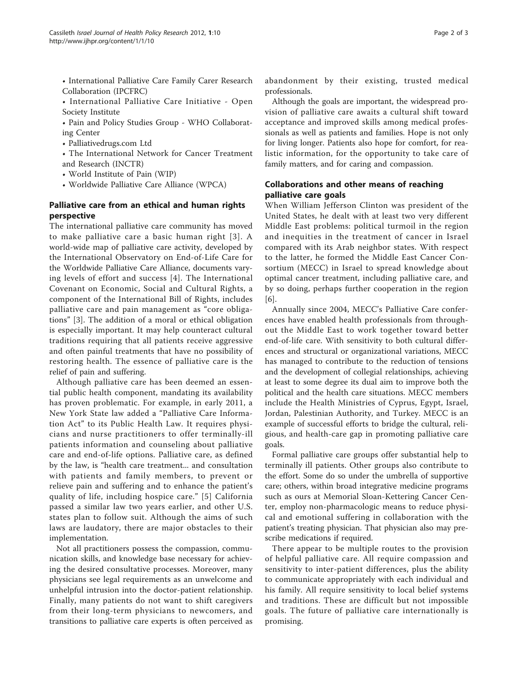• International Palliative Care Family Carer Research Collaboration (IPCFRC)

- International Palliative Care Initiative Open Society Institute
- Pain and Policy Studies Group WHO Collaborating Center
- Palliativedrugs.com Ltd
- The International Network for Cancer Treatment and Research (INCTR)
- World Institute of Pain (WIP)
- Worldwide Palliative Care Alliance (WPCA)

#### Palliative care from an ethical and human rights perspective

The international palliative care community has moved to make palliative care a basic human right [[3\]](#page-2-0). A world-wide map of palliative care activity, developed by the International Observatory on End-of-Life Care for the Worldwide Palliative Care Alliance, documents varying levels of effort and success [[4](#page-2-0)]. The International Covenant on Economic, Social and Cultural Rights, a component of the International Bill of Rights, includes palliative care and pain management as "core obligations" [\[3](#page-2-0)]. The addition of a moral or ethical obligation is especially important. It may help counteract cultural traditions requiring that all patients receive aggressive and often painful treatments that have no possibility of restoring health. The essence of palliative care is the relief of pain and suffering.

Although palliative care has been deemed an essential public health component, mandating its availability has proven problematic. For example, in early 2011, a New York State law added a "Palliative Care Information Act" to its Public Health Law. It requires physicians and nurse practitioners to offer terminally-ill patients information and counseling about palliative care and end-of-life options. Palliative care, as defined by the law, is "health care treatment... and consultation with patients and family members, to prevent or relieve pain and suffering and to enhance the patient's quality of life, including hospice care." [[5](#page-2-0)] California passed a similar law two years earlier, and other U.S. states plan to follow suit. Although the aims of such laws are laudatory, there are major obstacles to their implementation.

Not all practitioners possess the compassion, communication skills, and knowledge base necessary for achieving the desired consultative processes. Moreover, many physicians see legal requirements as an unwelcome and unhelpful intrusion into the doctor-patient relationship. Finally, many patients do not want to shift caregivers from their long-term physicians to newcomers, and transitions to palliative care experts is often perceived as abandonment by their existing, trusted medical professionals.

Although the goals are important, the widespread provision of palliative care awaits a cultural shift toward acceptance and improved skills among medical professionals as well as patients and families. Hope is not only for living longer. Patients also hope for comfort, for realistic information, for the opportunity to take care of family matters, and for caring and compassion.

#### Collaborations and other means of reaching palliative care goals

When William Jefferson Clinton was president of the United States, he dealt with at least two very different Middle East problems: political turmoil in the region and inequities in the treatment of cancer in Israel compared with its Arab neighbor states. With respect to the latter, he formed the Middle East Cancer Consortium (MECC) in Israel to spread knowledge about optimal cancer treatment, including palliative care, and by so doing, perhaps further cooperation in the region [[6\]](#page-2-0).

Annually since 2004, MECC's Palliative Care conferences have enabled health professionals from throughout the Middle East to work together toward better end-of-life care. With sensitivity to both cultural differences and structural or organizational variations, MECC has managed to contribute to the reduction of tensions and the development of collegial relationships, achieving at least to some degree its dual aim to improve both the political and the health care situations. MECC members include the Health Ministries of Cyprus, Egypt, Israel, Jordan, Palestinian Authority, and Turkey. MECC is an example of successful efforts to bridge the cultural, religious, and health-care gap in promoting palliative care goals.

Formal palliative care groups offer substantial help to terminally ill patients. Other groups also contribute to the effort. Some do so under the umbrella of supportive care; others, within broad integrative medicine programs such as ours at Memorial Sloan-Kettering Cancer Center, employ non-pharmacologic means to reduce physical and emotional suffering in collaboration with the patient's treating physician. That physician also may prescribe medications if required.

There appear to be multiple routes to the provision of helpful palliative care. All require compassion and sensitivity to inter-patient differences, plus the ability to communicate appropriately with each individual and his family. All require sensitivity to local belief systems and traditions. These are difficult but not impossible goals. The future of palliative care internationally is promising.